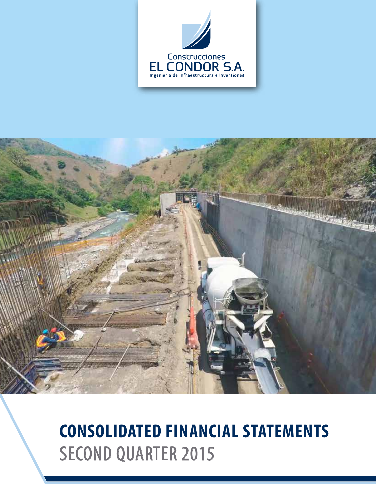



# **CONSOLIDATED FINANCIAL STATEMENTS** SECOND QUARTER 2015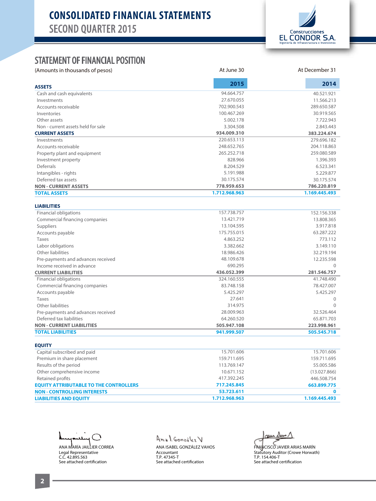# **CONSOLIDATED FINANCIAL STATEMENTS** SECOND QUARTER 2015



#### STATEMENT OF FINANCIAL POSITION

(Amounts in thousands of pesos) and the state of person and the state of person at December 31

| <b>ASSETS</b>                      | 2015          | 2014          |
|------------------------------------|---------------|---------------|
| Cash and cash equivalents          | 94.664.757    | 40.521.921    |
| Investments                        | 27.670.055    | 11.566.213    |
| Accounts receivable                | 702.900.543   | 289.650.587   |
| Inventories                        | 100.467.269   | 30.919.565    |
| Other assets                       | 5.002.178     | 7.722.943     |
| Non - current assets held for sale | 3.304.508     | 2.843.443     |
| <b>CURRENT ASSETS</b>              | 934.009.310   | 383.224.674   |
| Investments                        | 220.653.113   | 279.696.182   |
| Accounts receivable                | 248.652.765   | 204.118.863   |
| Property plant and equipment       | 265.252.718   | 259.080.589   |
| Investment property                | 828.966       | 1.396.393     |
| Deferrals                          | 8.204.529     | 6.523.341     |
| Intangibles - rights               | 5.191.988     | 5.229.877     |
| Deferred tax assets                | 30.175.574    | 30.175.574    |
| <b>NON - CURRENT ASSETS</b>        | 778.959.653   | 786.220.819   |
| <b>TOTAL ASSETS</b>                | 1.712.968.963 | 1.169.445.493 |
|                                    |               |               |

At June 30

#### Financial obligations Commercial financing companies Suppliers Accounts payable Taxes Labor obligations Other liabilities Pre-payments and advances received Income received in advance **CURRENT LIABILITIES** Financial obligations Commercial financing companies Accounts payable Taxes Other liabilities Pre-payments and advances received Deferred tax liabilities **NON - CURRENT LIABILITIES TOTAL LIABILITIES** 152.156.338 13.808.365 3.917.818 63.287.222 773.112 3.149.110 32.219.194 12.235.598 0  **281.546.757** 41.748.490 78.427.007 5.425.297 0 0 32.526.464 65.871.703 **223.998.961 505.545.718** 157.738.757 13.421.719 13.104.595 175.755.015 4.863.252 3.382.662 18.986.426 48.109.678 690.295  **436.052.399** 324.160.555 83.748.158 5.425.297 27.641 314.975 28.009.963 64.260.520  **505.947.108 941.999.507**

| <b>EQUITY</b>                                 |               |               |  |
|-----------------------------------------------|---------------|---------------|--|
| Capital subscribed and paid                   | 15.701.606    | 15.701.606    |  |
| Premium in share placement                    | 159.711.695   | 159.711.695   |  |
| Results of the period                         | 113.769.147   | 55.005.586    |  |
| Other comprehensive income                    | 10.671.152    | (13.027.866)  |  |
| Retained profits                              | 417.392.245   | 446.508.754   |  |
| <b>EQUITY ATTRIBUTABLE TO THE CONTROLLERS</b> | 717.245.845   | 663.899.775   |  |
| <b>NON - CONTROLLING INTERESTS</b>            | 53.723.611    |               |  |
| <b>LIABILITIES AND EQUITY</b>                 | 1.712.968.963 | 1.169.445.493 |  |
|                                               |               |               |  |

℩ ANA MARÍA JAILLIER CORREA Legal Representative C.C. 42.895.563 See attached certification

Anal Gonzobez V ANA ISABEL GONZÁLEZ VAHOS

See attached certification

Accountant T.P. 47345-T

 $\omega$ we Dun  $\Lambda$ 

FRANCISCO JAVIER ARIAS MARÍN Statutory Auditor (Crowe Horwath) T.P. 154.406-T See attached certification

**EQUITY**

**LIABILITIES**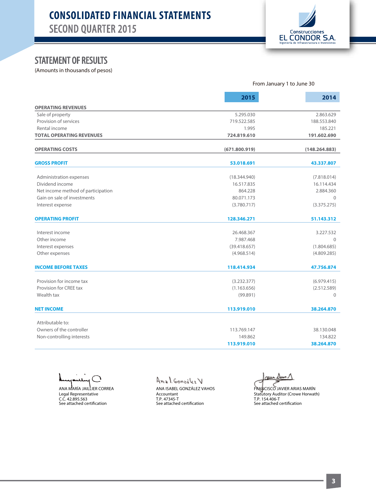# **CONSOLIDATED FINANCIAL STATEMENTS** SECOND QUARTER 2015



# STATEMENT OF RESULTS

(Amounts in thousands of pesos)

|                                    | From January 1 to June 30 |               |  |
|------------------------------------|---------------------------|---------------|--|
|                                    | 2015                      | 2014          |  |
| <b>OPERATING REVENUES</b>          |                           |               |  |
| Sale of property                   | 5.295.030                 | 2.863.629     |  |
| Provision of services              | 719.522.585               | 188.553.840   |  |
| Rental income                      | 1.995                     | 185.221       |  |
| <b>TOTAL OPERATING REVENUES</b>    | 724.819.610               | 191.602.690   |  |
| <b>OPERATING COSTS</b>             | (671.800.919)             | (148.264.883) |  |
| <b>GROSS PROFIT</b>                | 53.018.691                | 43.337.807    |  |
|                                    |                           |               |  |
| Administration expenses            | (18.344.940)              | (7.818.014)   |  |
| Dividend income                    | 16.517.835<br>864.228     | 16.114.434    |  |
| Net income method of participation |                           | 2.884.360     |  |
| Gain on sale of investments        | 80.071.173                | $\Omega$      |  |
| Interest expense                   | (3.780.717)               | (3.375.275)   |  |
| <b>OPERATING PROFIT</b>            | 128.346.271               | 51.143.312    |  |
| Interest income                    | 26.468.367                | 3.227.532     |  |
| Other income                       | 7.987.468                 | $\Omega$      |  |
| Interest expenses                  | (39.418.657)              | (1.804.685)   |  |
| Other expenses                     | (4.968.514)               | (4.809.285)   |  |
| <b>INCOME BEFORE TAXES</b>         | 118.414.934               | 47.756.874    |  |
|                                    |                           |               |  |
| Provision for income tax           | (3.232.377)               | (6.979.415)   |  |
| Provision for CREE tax             | (1.163.656)               | (2.512.589)   |  |
| Wealth tax                         | (99.891)                  | $\mathbf{0}$  |  |
| <b>NET INCOME</b>                  | 113.919.010               | 38.264.870    |  |
| Attributable to:                   |                           |               |  |
| Owners of the controller           | 113.769.147               | 38.130.048    |  |
| Non-controlling interests          | 149.862                   | 134.822       |  |
|                                    | 113.919.010               | 38.264.870    |  |
|                                    |                           |               |  |

ANA MARÍA JAILLIER CORREA

Legal Representative C.C. 42.895.563<br>See attached certification

Anal González V ANA ISABEL GONZÁLEZ VAHOS Accountant T.P. 47345-T<br>See attached certification

au Dun

FRANCISCO JAVIER ARIAS MARÍN Statutory Auditor (Crowe Horwath) T.P. 154.406-T<br>See attached certification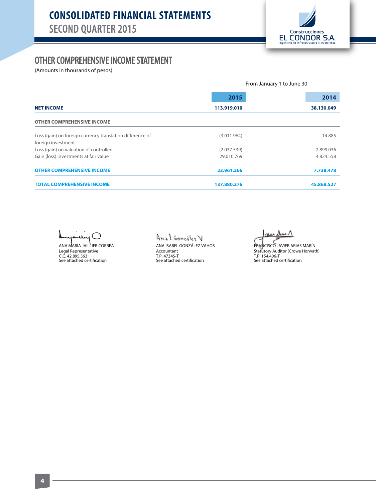

## OTHER COMPREHENSIVE INCOME STATEMENT

(Amounts in thousands of pesos)

|                                                           | From January 1 to June 30 |            |  |  |
|-----------------------------------------------------------|---------------------------|------------|--|--|
|                                                           | 2015                      | 2014       |  |  |
| <b>NET INCOME</b>                                         | 113.919.010               | 38.130.049 |  |  |
| <b>OTHER COMPREHENSIVE INCOME</b>                         |                           |            |  |  |
| Loss (gain) on foreign currency translation difference of | (3.011.964)               | 14.885     |  |  |
| foreign investment                                        |                           |            |  |  |
| Loss (gain) on valuation of controlled                    | (2.037.539)               | 2.899.036  |  |  |
| Gain (loss) investments at fair value                     | 29.010.769                | 4.824.558  |  |  |
| <b>OTHER COMPREHENSIVE INCOME</b>                         | 23.961.266                | 7.738.478  |  |  |
| <b>TOTAL COMPREHENSIVE INCOME</b>                         | 137.880.276               | 45.868.527 |  |  |

 $\bigcap$ 

ANA MARÍA JAILLIER CORREA Legal Representative<br>C.C. 42.895.563<br>See attached certification

Anal González V ANA ISABEL GONZÁLEZ VAHOS Accountant T.P. 47345-T<br>See attached certification

nun

FRANCISCO JAVIER ARIAS MARÍN Statūtory Auditor (Crowe Horwath)<br>T.P. 154.406-T See attached certification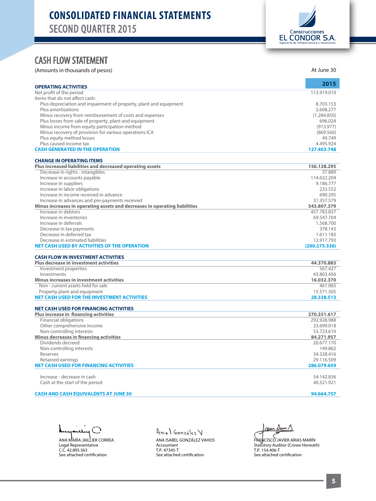

## CASH ELOW STATEMENT

|                                                                            | At June 30            |
|----------------------------------------------------------------------------|-----------------------|
| <b>OPERATING ACTIVITIES</b>                                                | 2015                  |
| Net profit of the period                                                   | 113.919.010           |
| Items that do not affect cash:                                             |                       |
| Plus depreciation and impairment of property, plant and equipment          | 8.703.153             |
| Plus amortizations                                                         | 2.608.277             |
| Minus recovery from reimbursement of costs and expenses                    | (1.284.850)           |
| Plus losses from sale of property, plant and equipment                     | 696.024               |
| Minus income from equity participation method                              | (913.977)             |
| Minus recovery of provision for various operations ICA                     | (869.560)             |
| Plus equity method losses                                                  | 49.749                |
| Plus caused income tax                                                     | 4.495.924             |
| <b>CASH GENERATED IN THE OPERATION</b>                                     | 127.403.748           |
| <b>CHANGE IN OPERATING ITEMS</b>                                           |                       |
| Plus increased liabilities and decreased operating assets                  | 156.128.295           |
| Decrease in rights - intangibles                                           | 37.889                |
| Increase in accounts payable                                               | 114.622.204           |
| Increase in suppliers                                                      | 9.186.777             |
| Increase in labor obligations<br>Increase in income received in advance    | 233.552               |
| Increase in advances and pre-payments received                             | 690.295<br>31.357.579 |
| Minus increases in operating assets and decreases in operating liabilities | 543.807.379           |
| Increase in debtors                                                        | 457.783.857           |
| Increase in inventories                                                    | 69.547.704            |
| Increase in deferrals                                                      | 1.568.700             |
| Decrease in tax payments                                                   | 378.143               |
| Decrease in deferred tax                                                   | 1.611.183             |
| Decrease in estimated liabilities                                          | 12.917.793            |
| <b>NET CASH USED BY ACTIVITIES OF THE OPERATION</b>                        | (260.275.336)         |
| <b>CASH FLOW IN INVESTMENT ACTIVITIES</b>                                  |                       |
| <b>Plus decrease in investment activities</b>                              | 44.370.883            |
| Investment properties                                                      | 567.427               |
| Investments                                                                | 43.803.456            |
| <b>Minus increases in investment activities</b>                            | 16.032.370            |
| Non - current assets held for sale                                         | 461.065               |
| Property plant and equipment                                               | 15.571.305            |
| <b>NET CASH USED FOR THE INVESTMENT ACTIVITIES</b>                         | 28.338.513            |
| <b>NET CASH USED FOR FINANCING ACTIVITIES</b>                              |                       |
| Plus increase in financing activities                                      | 370.351.617           |
| <b>Financial obligations</b>                                               | 292.928.988           |
| Other comprehensive income                                                 | 23.699.018            |
| Non-controlling interests                                                  | 53.723.610            |
| <b>Minus decreases in financing activities</b>                             | 84.271.957            |
| Dividends decreed                                                          | 20.677.170            |
| Non-controlling interests                                                  | 149.862               |
| Reserves                                                                   | 34.328.416            |
| Retained earnings                                                          | 29.116.509            |
| <b>NET CASH USED FOR FINANCING ACTIVITIES</b>                              | 286.079.659           |
|                                                                            | 54.142.836            |
| Increase - decrease in cash                                                | 40.521.921            |
| Cash at the start of the period                                            |                       |

ANA MARÍA JAILLIER CORREA

Legal Representative<br>C.C. 42.895.563<br>See attached certification

Anal González V

ANA ISABEL GONZÁLEZ VAHOS Accountant T.P. 47345-T<br>See attached certification

 $\Delta$ un  $\Lambda$ حسن

FRANCISCO JAVIER ARIAS MARÍN Statutory Auditor (Crowe Horwath)<br>T.P. 154.406-T<br>See attached certification